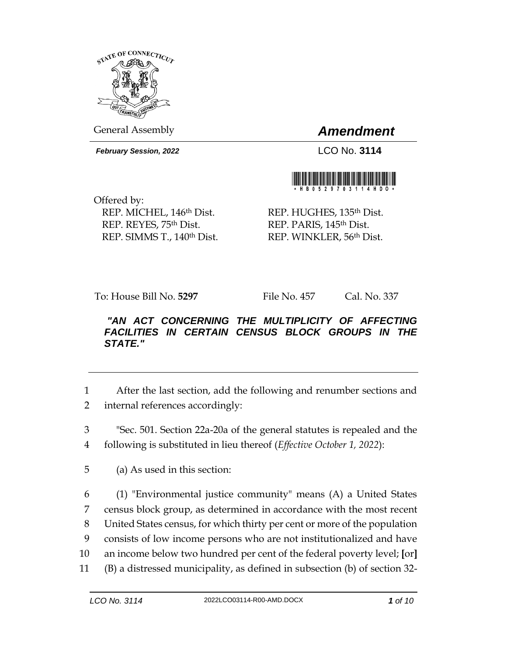

General Assembly *Amendment*

*February Session, 2022* LCO No. **3114**



Offered by: REP. MICHEL, 146<sup>th</sup> Dist. REP. REYES, 75th Dist. REP. SIMMS T., 140th Dist.

REP. HUGHES, 135<sup>th</sup> Dist. REP. PARIS, 145<sup>th</sup> Dist. REP. WINKLER, 56th Dist.

To: House Bill No. **5297** File No. 457 Cal. No. 337

## *"AN ACT CONCERNING THE MULTIPLICITY OF AFFECTING*  **FACILITIES IN CERTAIN CENSUS BLOCK GROUPS IN THE** *STATE."*

1 After the last section, add the following and renumber sections and 2 internal references accordingly:

3 "Sec. 501. Section 22a-20a of the general statutes is repealed and the 4 following is substituted in lieu thereof (*Effective October 1, 2022*):

5 (a) As used in this section:

 (1) "Environmental justice community" means (A) a United States census block group, as determined in accordance with the most recent United States census, for which thirty per cent or more of the population consists of low income persons who are not institutionalized and have an income below two hundred per cent of the federal poverty level; **[**or**]** (B) a distressed municipality, as defined in subsection (b) of section 32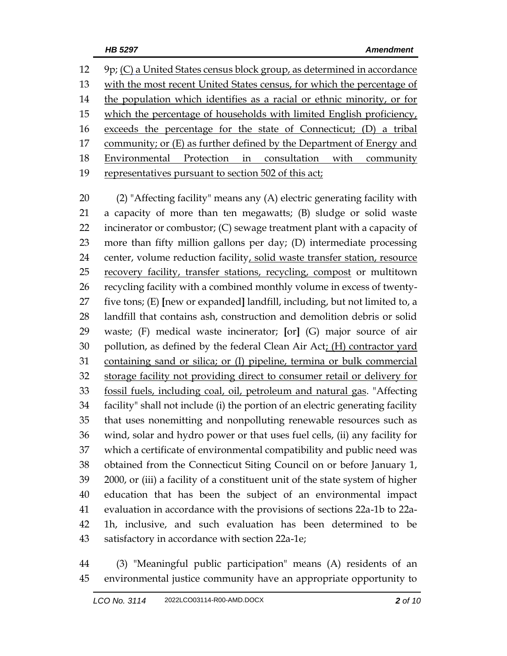9p; (C) a United States census block group, as determined in accordance with the most recent United States census, for which the percentage of 14 the population which identifies as a racial or ethnic minority, or for which the percentage of households with limited English proficiency, exceeds the percentage for the state of Connecticut; (D) a tribal 17 community; or (E) as further defined by the Department of Energy and Environmental Protection in consultation with community representatives pursuant to section 502 of this act;

 (2) "Affecting facility" means any (A) electric generating facility with a capacity of more than ten megawatts; (B) sludge or solid waste 22 incinerator or combustor; (C) sewage treatment plant with a capacity of more than fifty million gallons per day; (D) intermediate processing 24 center, volume reduction facility, solid waste transfer station, resource 25 recovery facility, transfer stations, recycling, compost or multitown recycling facility with a combined monthly volume in excess of twenty- five tons; (E) **[**new or expanded**]** landfill, including, but not limited to, a landfill that contains ash, construction and demolition debris or solid waste; (F) medical waste incinerator; **[**or**]** (G) major source of air pollution, as defined by the federal Clean Air Act; (H) contractor yard containing sand or silica; or (I) pipeline, termina or bulk commercial storage facility not providing direct to consumer retail or delivery for fossil fuels, including coal, oil, petroleum and natural gas. "Affecting facility" shall not include (i) the portion of an electric generating facility that uses nonemitting and nonpolluting renewable resources such as wind, solar and hydro power or that uses fuel cells, (ii) any facility for which a certificate of environmental compatibility and public need was obtained from the Connecticut Siting Council on or before January 1, 2000, or (iii) a facility of a constituent unit of the state system of higher education that has been the subject of an environmental impact evaluation in accordance with the provisions of sections 22a-1b to 22a- 1h, inclusive, and such evaluation has been determined to be satisfactory in accordance with section 22a-1e;

 (3) "Meaningful public participation" means (A) residents of an environmental justice community have an appropriate opportunity to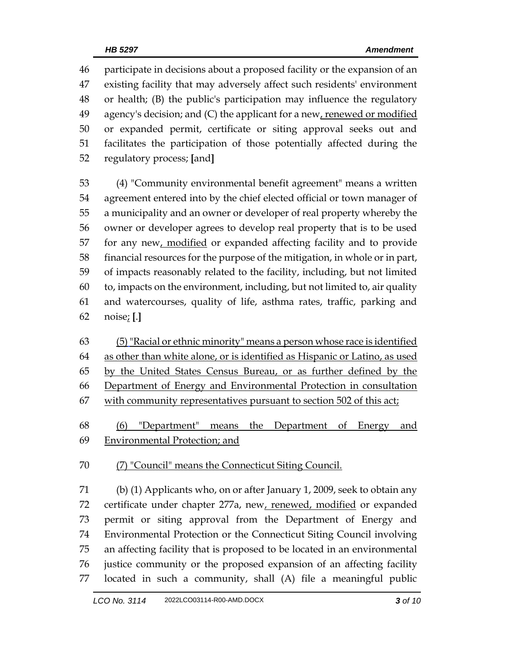participate in decisions about a proposed facility or the expansion of an existing facility that may adversely affect such residents' environment or health; (B) the public's participation may influence the regulatory agency's decision; and (C) the applicant for a new, renewed or modified or expanded permit, certificate or siting approval seeks out and facilitates the participation of those potentially affected during the regulatory process; **[**and**]**

 (4) "Community environmental benefit agreement" means a written agreement entered into by the chief elected official or town manager of a municipality and an owner or developer of real property whereby the owner or developer agrees to develop real property that is to be used for any new, modified or expanded affecting facility and to provide financial resources for the purpose of the mitigation, in whole or in part, of impacts reasonably related to the facility, including, but not limited to, impacts on the environment, including, but not limited to, air quality and watercourses, quality of life, asthma rates, traffic, parking and noise; **[**.**]**

 (5)"Racial or ethnic minority" means a person whose race is identified as other than white alone, or is identified as Hispanic or Latino, as used 65 by the United States Census Bureau, or as further defined by the Department of Energy and Environmental Protection in consultation with community representatives pursuant to section 502 of this act;

 (6) "Department" means the Department of Energy and Environmental Protection; and

(7) "Council" means the Connecticut Siting Council.

 (b) (1) Applicants who, on or after January 1, 2009, seek to obtain any 72 certificate under chapter 277a, new, renewed, modified or expanded permit or siting approval from the Department of Energy and Environmental Protection or the Connecticut Siting Council involving an affecting facility that is proposed to be located in an environmental justice community or the proposed expansion of an affecting facility located in such a community, shall (A) file a meaningful public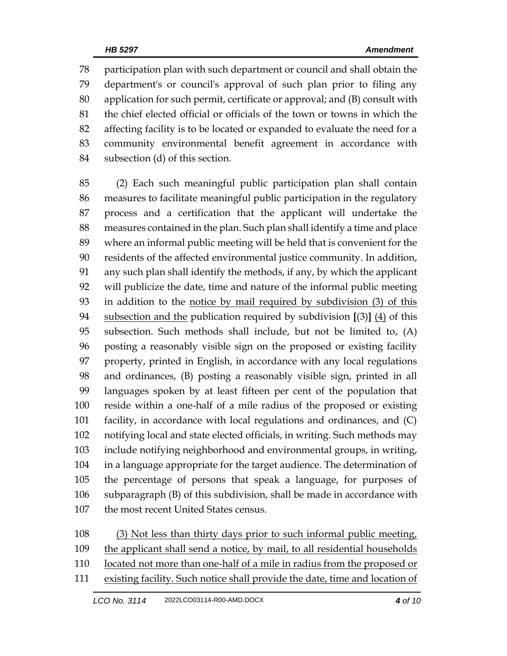participation plan with such department or council and shall obtain the department's or council's approval of such plan prior to filing any application for such permit, certificate or approval; and (B) consult with the chief elected official or officials of the town or towns in which the affecting facility is to be located or expanded to evaluate the need for a community environmental benefit agreement in accordance with subsection (d) of this section.

 (2) Each such meaningful public participation plan shall contain measures to facilitate meaningful public participation in the regulatory process and a certification that the applicant will undertake the measures contained in the plan. Such plan shall identify a time and place where an informal public meeting will be held that is convenient for the residents of the affected environmental justice community. In addition, any such plan shall identify the methods, if any, by which the applicant will publicize the date, time and nature of the informal public meeting in addition to the notice by mail required by subdivision (3) of this subsection and the publication required by subdivision **[**(3)**]** (4) of this subsection. Such methods shall include, but not be limited to, (A) posting a reasonably visible sign on the proposed or existing facility property, printed in English, in accordance with any local regulations and ordinances, (B) posting a reasonably visible sign, printed in all languages spoken by at least fifteen per cent of the population that reside within a one-half of a mile radius of the proposed or existing facility, in accordance with local regulations and ordinances, and (C) notifying local and state elected officials, in writing. Such methods may include notifying neighborhood and environmental groups, in writing, in a language appropriate for the target audience. The determination of the percentage of persons that speak a language, for purposes of subparagraph (B) of this subdivision, shall be made in accordance with 107 the most recent United States census.

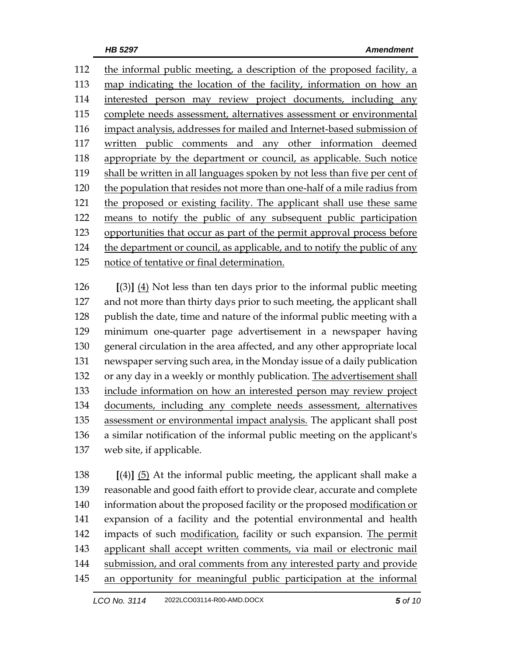112 the informal public meeting, a description of the proposed facility, a map indicating the location of the facility, information on how an interested person may review project documents, including any complete needs assessment, alternatives assessment or environmental impact analysis, addresses for mailed and Internet-based submission of written public comments and any other information deemed appropriate by the department or council, as applicable. Such notice shall be written in all languages spoken by not less than five per cent of the population that resides not more than one-half of a mile radius from the proposed or existing facility. The applicant shall use these same means to notify the public of any subsequent public participation opportunities that occur as part of the permit approval process before the department or council, as applicable, and to notify the public of any notice of tentative or final determination.

 **[**(3)**]** (4) Not less than ten days prior to the informal public meeting 127 and not more than thirty days prior to such meeting, the applicant shall 128 publish the date, time and nature of the informal public meeting with a minimum one-quarter page advertisement in a newspaper having general circulation in the area affected, and any other appropriate local newspaper serving such area, in the Monday issue of a daily publication 132 or any day in a weekly or monthly publication. The advertisement shall include information on how an interested person may review project documents, including any complete needs assessment, alternatives assessment or environmental impact analysis. The applicant shall post a similar notification of the informal public meeting on the applicant's web site, if applicable.

 **[**(4)**]** (5) At the informal public meeting, the applicant shall make a reasonable and good faith effort to provide clear, accurate and complete information about the proposed facility or the proposed modification or expansion of a facility and the potential environmental and health impacts of such modification, facility or such expansion. The permit applicant shall accept written comments, via mail or electronic mail submission, and oral comments from any interested party and provide an opportunity for meaningful public participation at the informal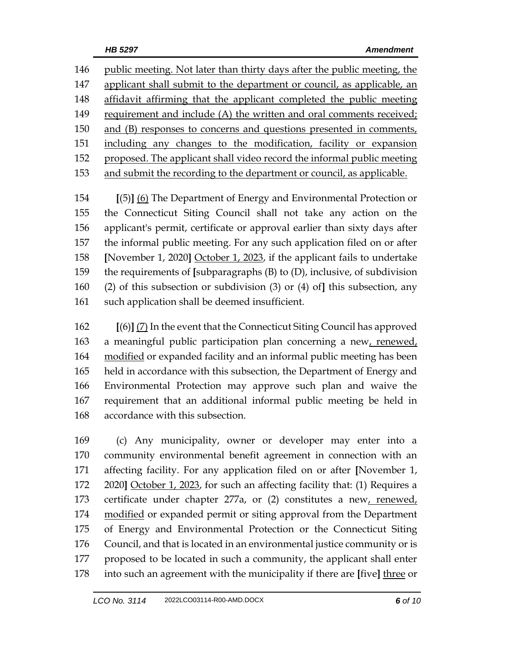public meeting. Not later than thirty days after the public meeting, the applicant shall submit to the department or council, as applicable, an affidavit affirming that the applicant completed the public meeting requirement and include (A) the written and oral comments received; and (B) responses to concerns and questions presented in comments, including any changes to the modification, facility or expansion proposed. The applicant shall video record the informal public meeting and submit the recording to the department or council, as applicable.

 **[**(5)**]** (6) The Department of Energy and Environmental Protection or the Connecticut Siting Council shall not take any action on the applicant's permit, certificate or approval earlier than sixty days after the informal public meeting. For any such application filed on or after **[**November 1, 2020**]** October 1, 2023, if the applicant fails to undertake the requirements of **[**subparagraphs (B) to (D), inclusive, of subdivision (2) of this subsection or subdivision (3) or (4) of**]** this subsection, any such application shall be deemed insufficient.

 **[**(6)**]** (7) In the event that the Connecticut Siting Council has approved a meaningful public participation plan concerning a new, renewed, modified or expanded facility and an informal public meeting has been held in accordance with this subsection, the Department of Energy and Environmental Protection may approve such plan and waive the requirement that an additional informal public meeting be held in accordance with this subsection.

 (c) Any municipality, owner or developer may enter into a community environmental benefit agreement in connection with an affecting facility. For any application filed on or after **[**November 1, 2020**]** October 1, 2023, for such an affecting facility that: (1) Requires a certificate under chapter 277a, or (2) constitutes a new, renewed, 174 modified or expanded permit or siting approval from the Department of Energy and Environmental Protection or the Connecticut Siting Council, and that is located in an environmental justice community or is proposed to be located in such a community, the applicant shall enter into such an agreement with the municipality if there are **[**five**]** three or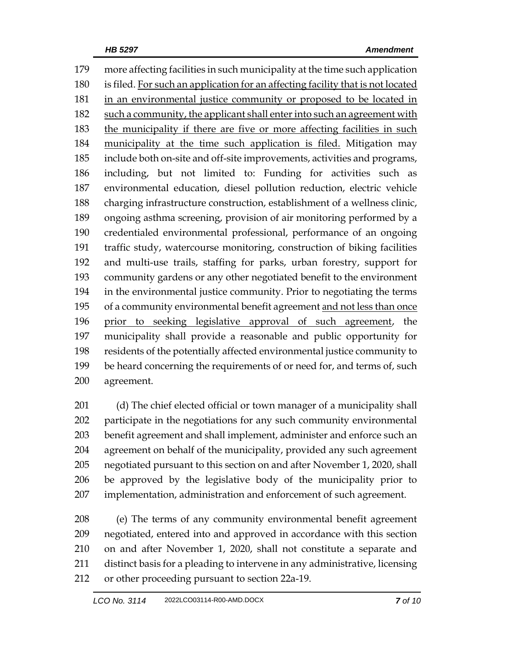more affecting facilities in such municipality at the time such application is filed. For such an application for an affecting facility that is not located in an environmental justice community or proposed to be located in such a community, the applicant shall enter into such an agreement with 183 the municipality if there are five or more affecting facilities in such municipality at the time such application is filed. Mitigation may include both on-site and off-site improvements, activities and programs, including, but not limited to: Funding for activities such as environmental education, diesel pollution reduction, electric vehicle charging infrastructure construction, establishment of a wellness clinic, ongoing asthma screening, provision of air monitoring performed by a credentialed environmental professional, performance of an ongoing traffic study, watercourse monitoring, construction of biking facilities and multi-use trails, staffing for parks, urban forestry, support for community gardens or any other negotiated benefit to the environment in the environmental justice community. Prior to negotiating the terms of a community environmental benefit agreement and not less than once prior to seeking legislative approval of such agreement, the municipality shall provide a reasonable and public opportunity for residents of the potentially affected environmental justice community to be heard concerning the requirements of or need for, and terms of, such agreement.

201 (d) The chief elected official or town manager of a municipality shall participate in the negotiations for any such community environmental benefit agreement and shall implement, administer and enforce such an agreement on behalf of the municipality, provided any such agreement negotiated pursuant to this section on and after November 1, 2020, shall be approved by the legislative body of the municipality prior to implementation, administration and enforcement of such agreement.

 (e) The terms of any community environmental benefit agreement negotiated, entered into and approved in accordance with this section on and after November 1, 2020, shall not constitute a separate and distinct basis for a pleading to intervene in any administrative, licensing or other proceeding pursuant to section 22a-19.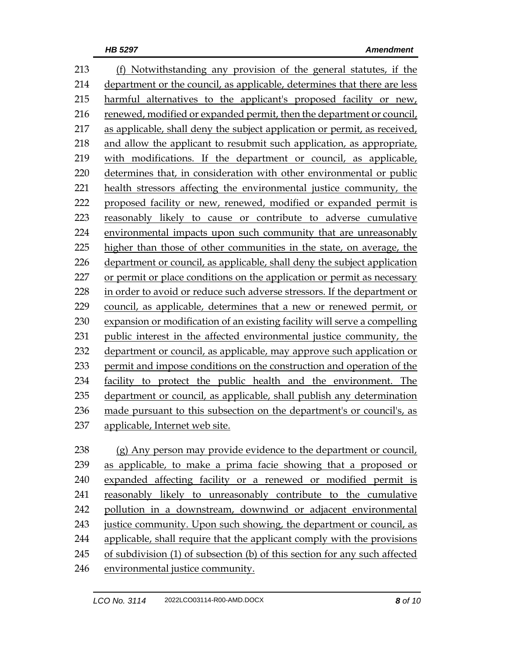(f) Notwithstanding any provision of the general statutes, if the department or the council, as applicable, determines that there are less harmful alternatives to the applicant's proposed facility or new, renewed, modified or expanded permit, then the department or council, as applicable, shall deny the subject application or permit, as received, and allow the applicant to resubmit such application, as appropriate, with modifications. If the department or council, as applicable, determines that, in consideration with other environmental or public health stressors affecting the environmental justice community, the proposed facility or new, renewed, modified or expanded permit is reasonably likely to cause or contribute to adverse cumulative environmental impacts upon such community that are unreasonably higher than those of other communities in the state, on average, the department or council, as applicable, shall deny the subject application or permit or place conditions on the application or permit as necessary 228 in order to avoid or reduce such adverse stressors. If the department or council, as applicable, determines that a new or renewed permit, or expansion or modification of an existing facility will serve a compelling public interest in the affected environmental justice community, the department or council, as applicable, may approve such application or permit and impose conditions on the construction and operation of the facility to protect the public health and the environment. The department or council, as applicable, shall publish any determination made pursuant to this subsection on the department's or council's, as applicable, Internet web site. (g) Any person may provide evidence to the department or council,

 as applicable, to make a prima facie showing that a proposed or expanded affecting facility or a renewed or modified permit is reasonably likely to unreasonably contribute to the cumulative pollution in a downstream, downwind or adjacent environmental 243 justice community. Upon such showing, the department or council, as applicable, shall require that the applicant comply with the provisions of subdivision (1) of subsection (b) of this section for any such affected

environmental justice community.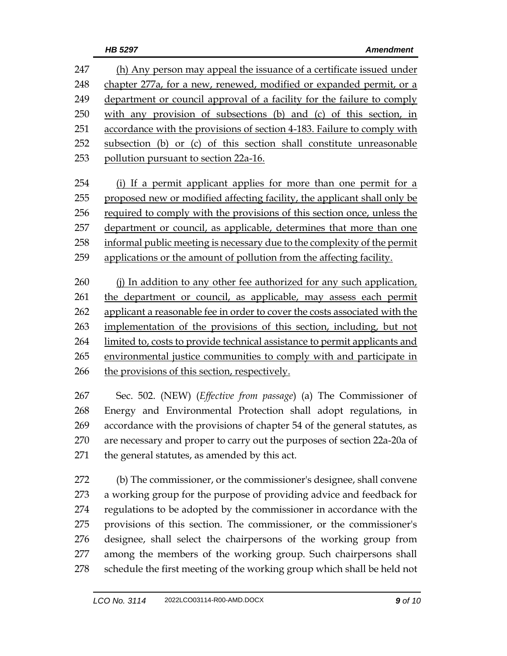| 247 | (h) Any person may appeal the issuance of a certificate issued under    |
|-----|-------------------------------------------------------------------------|
| 248 | chapter 277a, for a new, renewed, modified or expanded permit, or a     |
| 249 | department or council approval of a facility for the failure to comply  |
| 250 | with any provision of subsections (b) and (c) of this section, in       |
| 251 | accordance with the provisions of section 4-183. Failure to comply with |
| 252 | subsection (b) or (c) of this section shall constitute unreasonable     |
| 253 | pollution pursuant to section 22a-16.                                   |

 (i) If a permit applicant applies for more than one permit for a proposed new or modified affecting facility, the applicant shall only be 256 required to comply with the provisions of this section once, unless the department or council, as applicable, determines that more than one informal public meeting is necessary due to the complexity of the permit 259 applications or the amount of pollution from the affecting facility.

260 (j) In addition to any other fee authorized for any such application, the department or council, as applicable, may assess each permit applicant a reasonable fee in order to cover the costs associated with the implementation of the provisions of this section, including, but not limited to, costs to provide technical assistance to permit applicants and 265 environmental justice communities to comply with and participate in 266 the provisions of this section, respectively.

 Sec. 502. (NEW) (*Effective from passage*) (a) The Commissioner of Energy and Environmental Protection shall adopt regulations, in accordance with the provisions of chapter 54 of the general statutes, as are necessary and proper to carry out the purposes of section 22a-20a of the general statutes, as amended by this act.

 (b) The commissioner, or the commissioner's designee, shall convene a working group for the purpose of providing advice and feedback for regulations to be adopted by the commissioner in accordance with the provisions of this section. The commissioner, or the commissioner's designee, shall select the chairpersons of the working group from among the members of the working group. Such chairpersons shall 278 schedule the first meeting of the working group which shall be held not